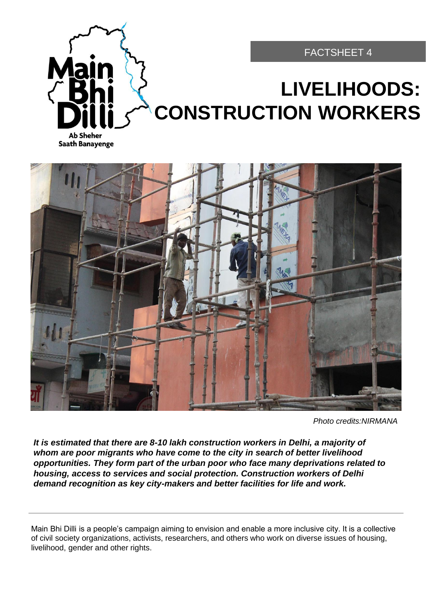

#### FACTSHEET 4

# **LIVELIHOODS: CONSTRUCTION WORKERS**

**Ab Sheher Saath Banayenge** 



*Photo credits:NIRMANA* 

*It is estimated that there are 8-10 lakh construction workers in Delhi, a majority of whom are poor migrants who have come to the city in search of better livelihood opportunities. They form part of the urban poor who face many deprivations related to housing, access to services and social protection. Construction workers of Delhi demand recognition as key city-makers and better facilities for life and work.* 

Main Bhi Dilli is a people's campaign aiming to envision and enable a more inclusive city. It is a collective of civil society organizations, activists, researchers, and others who work on diverse issues of housing, livelihood, gender and other rights.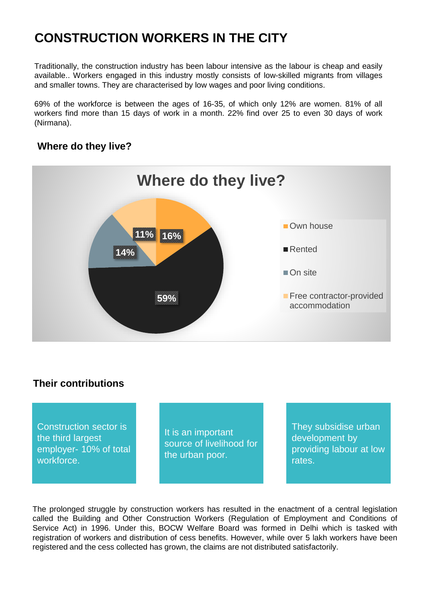## **CONSTRUCTION WORKERS IN THE CITY**

Traditionally, the construction industry has been labour intensive as the labour is cheap and easily available.. Workers engaged in this industry mostly consists of low-skilled migrants from villages and smaller towns. They are characterised by low wages and poor living conditions.

69% of the workforce is between the ages of 16-35, of which only 12% are women. 81% of all workers find more than 15 days of work in a month. 22% find over 25 to even 30 days of work (Nirmana).

#### **Where do they live?**



#### **Their contributions**

Construction sector is the third largest employer- 10% of total workforce.

It is an important source of livelihood for the urban poor.

They subsidise urban development by providing labour at low rates.

The prolonged struggle by construction workers has resulted in the enactment of a central legislation called the Building and Other Construction Workers (Regulation of Employment and Conditions of Service Act) in 1996. Under this, BOCW Welfare Board was formed in Delhi which is tasked with registration of workers and distribution of cess benefits. However, while over 5 lakh workers have been registered and the cess collected has grown, the claims are not distributed satisfactorily.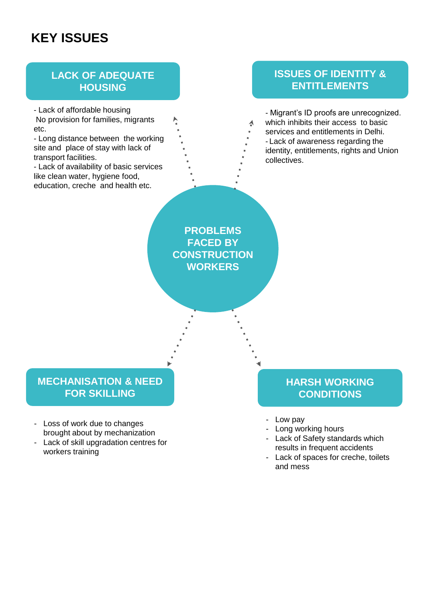## **KEY ISSUES**

#### **LACK OF ADEQUATE HOUSING**

- Lack of affordable housing No provision for families, migrants etc.

- Long distance between the working site and place of stay with lack of transport facilities.

- Lack of availability of basic services like clean water, hygiene food, education, creche and health etc.

### **ISSUES OF IDENTITY & ENTITLEMENTS**

- Migrant's ID proofs are unrecognized. which inhibits their access to basic services and entitlements in Delhi. - Lack of awareness regarding the identity, entitlements, rights and Union collectives.

**PROBLEMS FACED BY CONSTRUCTION WORKERS** 

### **MECHANISATION & NEED FOR SKILLING**

- Loss of work due to changes brought about by mechanization
- Lack of skill upgradation centres for workers training

### **HARSH WORKING CONDITIONS**

- Low pay
- Long working hours
- Lack of Safety standards which results in frequent accidents
- Lack of spaces for creche, toilets and mess